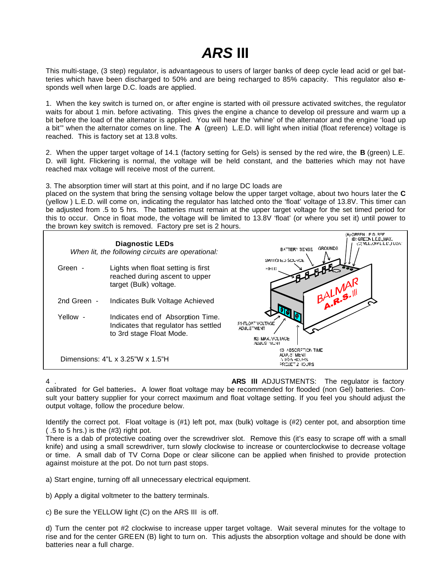## *ARS* **III**

This multi-stage, (3 step) regulator, is advantageous to users of larger banks of deep cycle lead acid or gel batteries which have been discharged to 50% and are being recharged to 85% capacity. This regulator also responds well when large D.C. loads are applied.

1. When the key switch is turned on, or after engine is started with oil pressure activated switches, the regulator waits for about 1 min. before activating. This gives the engine a chance to develop oil pressure and warm up a bit before the load of the alternator is applied. You will hear the 'whine' of the alternator and the engine 'load up a bit'" when the alternator comes on line. The **A** (green) L.E.D. will light when initial (float reference) voltage is reached. This is factory set at 13.8 volts.

2. When the upper target voltage of 14.1 (factory setting for Gels) is sensed by the red wire, the **B** (green) L.E. D. will light. Flickering is normal, the voltage will be held constant, and the batteries which may not have reached max voltage will receive most of the current.

3. The absorption timer will start at this point, and if no large DC loads are

placed on the system that bring the sensing voltage below the upper target voltage, about two hours later the **C** (yellow ) L.E.D. will come on, indicating the regulator has latched onto the 'float' voltage of 13.8V. This timer can be adjusted from .5 to 5 hrs. The batteries must remain at the upper target voltage for the set timed period for this to occur. Once in float mode, the voltage will be limited to 13.8V 'float' (or where you set it) until power to the brown key switch is removed. Factory pre set is 2 hours.



4 . **ARS IlI** ADJUSTMENTS: The regulator is factory calibrated for Gel batteries**.** A lower float voltage may be recommended for flooded (non Gel) batteries. Consult your battery supplier for your correct maximum and float voltage setting. If you feel you should adjust the output voltage, follow the procedure below.

Identify the correct pot. Float voltage is (#1) left pot, max (bulk) voltage is (#2) center pot, and absorption time ( .5 to 5 hrs.) is the (#3) right pot.

There is a dab of protective coating over the screwdriver slot. Remove this (it's easy to scrape off with a small knife) and using a small screwdriver, turn slowly clockwise to increase or counterclockwise to decrease voltage or time. A small dab of TV Corna Dope or clear silicone can be applied when finished to provide protection against moisture at the pot. Do not turn past stops.

a) Start engine, turning off all unnecessary electrical equipment.

b) Apply a digital voltmeter to the battery terminals.

c) Be sure the YELLOW light (C) on the ARS III is off.

d) Turn the center pot #2 clockwise to increase upper target voltage. Wait several minutes for the voltage to rise and for the center GREEN (B) light to turn on. This adjusts the absorption voltage and should be done with batteries near a full charge.